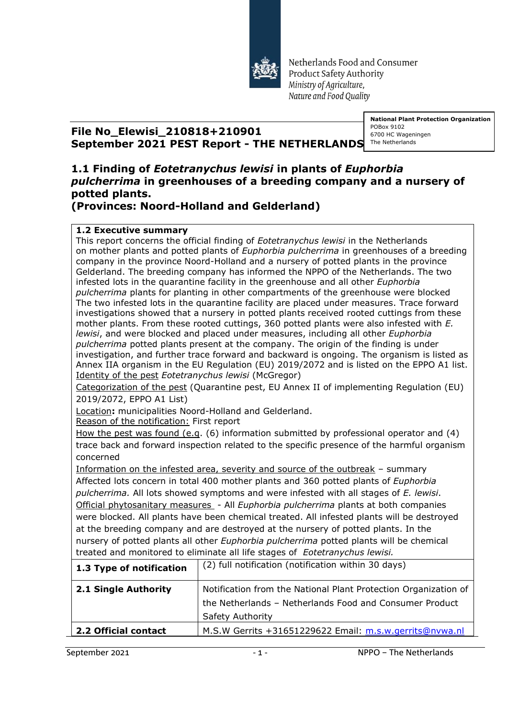

Netherlands Food and Consumer **Product Safety Authority** Ministry of Agriculture, Nature and Food Quality

## **File No\_Elewisi\_210818+210901 September 2021 PEST Report - THE NETHERLANDS**

**National Plant Protection Organization** POBox 9102 6700 HC Wageningen The Netherlands

## **1.1 Finding of** *Eotetranychus lewisi* **in plants of** *Euphorbia pulcherrima* **in greenhouses of a breeding company and a nursery of potted plants.**

**(Provinces: Noord-Holland and Gelderland)**

## **1.2 Executive summary**

This report concerns the official finding of *Eotetranychus lewisi* in the Netherlands on mother plants and potted plants of *Euphorbia pulcherrima* in greenhouses of a breeding company in the province Noord-Holland and a nursery of potted plants in the province Gelderland. The breeding company has informed the NPPO of the Netherlands. The two infested lots in the quarantine facility in the greenhouse and all other *Euphorbia pulcherrima* plants for planting in other compartments of the greenhouse were blocked The two infested lots in the quarantine facility are placed under measures. Trace forward investigations showed that a nursery in potted plants received rooted cuttings from these mother plants. From these rooted cuttings, 360 potted plants were also infested with *E. lewisi*, and were blocked and placed under measures, including all other *Euphorbia pulcherrima* potted plants present at the company. The origin of the finding is under investigation, and further trace forward and backward is ongoing. The organism is listed as Annex IIA organism in the EU Regulation (EU) 2019/2072 and is listed on the EPPO A1 list. Identity of the pest *Eotetranychus lewisi* (McGregor)

Categorization of the pest (Quarantine pest, EU Annex II of implementing Regulation (EU) 2019/2072, EPPO A1 List)

Location**:** municipalities Noord-Holland and Gelderland.

Reason of the notification: First report

How the pest was found (e.g. (6) information submitted by professional operator and (4) trace back and forward inspection related to the specific presence of the harmful organism concerned

Information on the infested area, severity and source of the outbreak – summary Affected lots concern in total 400 mother plants and 360 potted plants of *Euphorbia pulcherrima.* All lots showed symptoms and were infested with all stages of *E. lewisi*. Official phytosanitary measures - All *Euphorbia pulcherrima* plants at both companies were blocked. All plants have been chemical treated. All infested plants will be destroyed at the breeding company and are destroyed at the nursery of potted plants. In the nursery of potted plants all other *Euphorbia pulcherrima* potted plants will be chemical treated and monitored to eliminate all life stages of *Eotetranychus lewisi.*

| 1.3 Type of notification    | (2) full notification (notification within 30 days)             |
|-----------------------------|-----------------------------------------------------------------|
| <b>2.1 Single Authority</b> | Notification from the National Plant Protection Organization of |
|                             | the Netherlands - Netherlands Food and Consumer Product         |
|                             | Safety Authority                                                |
| 2.2 Official contact        | M.S.W Gerrits +31651229622 Email: m.s.w.gerrits@nvwa.nl         |
|                             |                                                                 |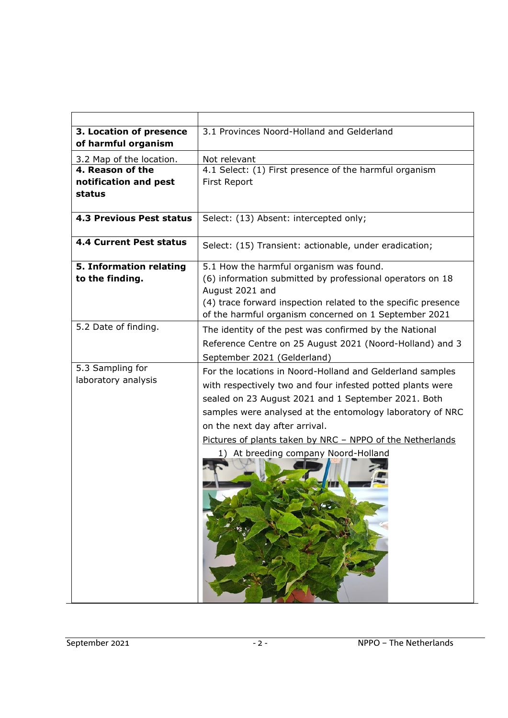| 3. Location of presence                    | 3.1 Provinces Noord-Holland and Gelderland                                                                                                                                                                                                                                                                                                                                         |
|--------------------------------------------|------------------------------------------------------------------------------------------------------------------------------------------------------------------------------------------------------------------------------------------------------------------------------------------------------------------------------------------------------------------------------------|
| of harmful organism                        |                                                                                                                                                                                                                                                                                                                                                                                    |
| 3.2 Map of the location.                   | Not relevant                                                                                                                                                                                                                                                                                                                                                                       |
| 4. Reason of the                           | 4.1 Select: (1) First presence of the harmful organism                                                                                                                                                                                                                                                                                                                             |
| notification and pest                      | First Report                                                                                                                                                                                                                                                                                                                                                                       |
| status                                     |                                                                                                                                                                                                                                                                                                                                                                                    |
| <b>4.3 Previous Pest status</b>            | Select: (13) Absent: intercepted only;                                                                                                                                                                                                                                                                                                                                             |
| 4.4 Current Pest status                    | Select: (15) Transient: actionable, under eradication;                                                                                                                                                                                                                                                                                                                             |
| 5. Information relating<br>to the finding. | 5.1 How the harmful organism was found.<br>(6) information submitted by professional operators on 18<br>August 2021 and<br>(4) trace forward inspection related to the specific presence<br>of the harmful organism concerned on 1 September 2021                                                                                                                                  |
| 5.2 Date of finding.                       | The identity of the pest was confirmed by the National<br>Reference Centre on 25 August 2021 (Noord-Holland) and 3<br>September 2021 (Gelderland)                                                                                                                                                                                                                                  |
| 5.3 Sampling for<br>laboratory analysis    | For the locations in Noord-Holland and Gelderland samples<br>with respectively two and four infested potted plants were<br>sealed on 23 August 2021 and 1 September 2021. Both<br>samples were analysed at the entomology laboratory of NRC<br>on the next day after arrival.<br>Pictures of plants taken by NRC - NPPO of the Netherlands<br>1) At breeding company Noord-Holland |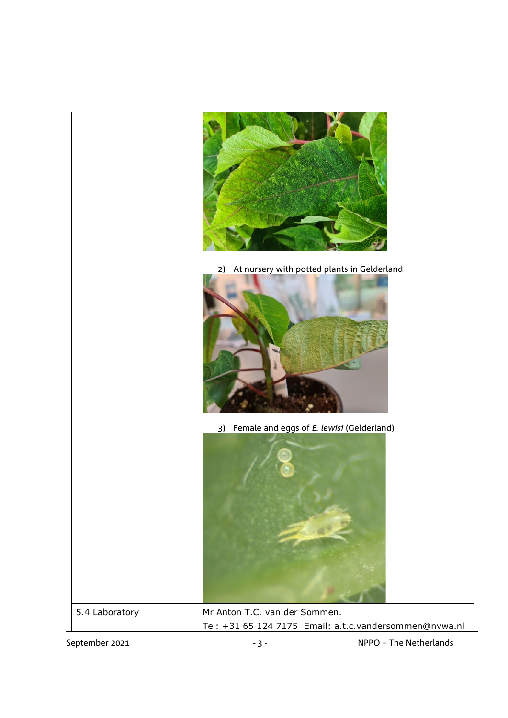|                | 2) At nursery with potted plants in Gelderland                                          |
|----------------|-----------------------------------------------------------------------------------------|
|                | Female and eggs of E. lewisi (Gelderland)<br><u>3)</u>                                  |
| 5.4 Laboratory | Mr Anton T.C. van der Sommen.<br>Tel: +31 65 124 7175 Email: a.t.c.vandersommen@nvwa.nl |

September 2021 - 3 - NPPO – The Netherlands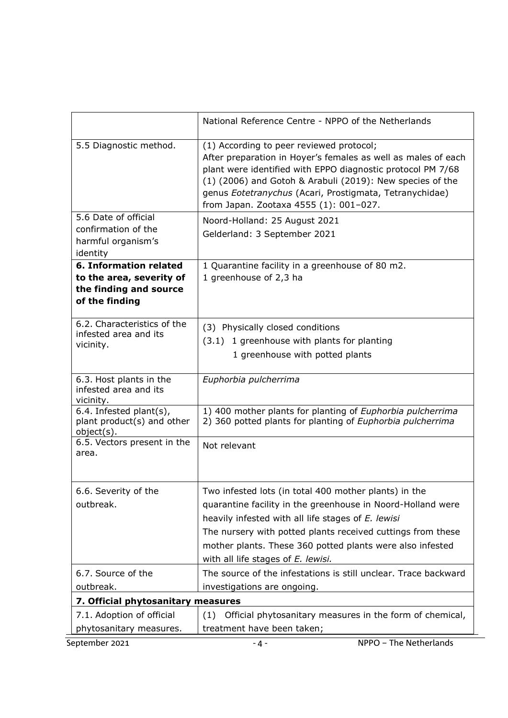|                                                                                                       | National Reference Centre - NPPO of the Netherlands                                                                                                                                                                                                                                                                                        |
|-------------------------------------------------------------------------------------------------------|--------------------------------------------------------------------------------------------------------------------------------------------------------------------------------------------------------------------------------------------------------------------------------------------------------------------------------------------|
| 5.5 Diagnostic method.                                                                                | (1) According to peer reviewed protocol;<br>After preparation in Hoyer's females as well as males of each<br>plant were identified with EPPO diagnostic protocol PM 7/68<br>(1) (2006) and Gotoh & Arabuli (2019): New species of the<br>genus Eotetranychus (Acari, Prostigmata, Tetranychidae)<br>from Japan. Zootaxa 4555 (1): 001-027. |
| 5.6 Date of official<br>confirmation of the                                                           | Noord-Holland: 25 August 2021<br>Gelderland: 3 September 2021                                                                                                                                                                                                                                                                              |
| harmful organism's<br>identity                                                                        |                                                                                                                                                                                                                                                                                                                                            |
| <b>6. Information related</b><br>to the area, severity of<br>the finding and source<br>of the finding | 1 Quarantine facility in a greenhouse of 80 m2.<br>1 greenhouse of 2,3 ha                                                                                                                                                                                                                                                                  |
| 6.2. Characteristics of the<br>infested area and its                                                  | (3) Physically closed conditions                                                                                                                                                                                                                                                                                                           |
| vicinity.                                                                                             | 1 greenhouse with plants for planting<br>(3.1)                                                                                                                                                                                                                                                                                             |
|                                                                                                       | 1 greenhouse with potted plants                                                                                                                                                                                                                                                                                                            |
| 6.3. Host plants in the<br>infested area and its<br>vicinity.                                         | Euphorbia pulcherrima                                                                                                                                                                                                                                                                                                                      |
| 6.4. Infested plant(s),<br>plant product(s) and other<br>object(s).                                   | 1) 400 mother plants for planting of Euphorbia pulcherrima<br>2) 360 potted plants for planting of Euphorbia pulcherrima                                                                                                                                                                                                                   |
| 6.5. Vectors present in the<br>area.                                                                  | Not relevant                                                                                                                                                                                                                                                                                                                               |
| 6.6. Severity of the                                                                                  | Two infested lots (in total 400 mother plants) in the                                                                                                                                                                                                                                                                                      |
| outbreak.                                                                                             | quarantine facility in the greenhouse in Noord-Holland were<br>heavily infested with all life stages of E. lewisi                                                                                                                                                                                                                          |
|                                                                                                       | The nursery with potted plants received cuttings from these                                                                                                                                                                                                                                                                                |
|                                                                                                       | mother plants. These 360 potted plants were also infested                                                                                                                                                                                                                                                                                  |
|                                                                                                       | with all life stages of E. lewisi.                                                                                                                                                                                                                                                                                                         |
| 6.7. Source of the                                                                                    | The source of the infestations is still unclear. Trace backward                                                                                                                                                                                                                                                                            |
| outbreak.                                                                                             | investigations are ongoing.                                                                                                                                                                                                                                                                                                                |
|                                                                                                       |                                                                                                                                                                                                                                                                                                                                            |
| 7. Official phytosanitary measures                                                                    |                                                                                                                                                                                                                                                                                                                                            |
| 7.1. Adoption of official<br>phytosanitary measures.                                                  | Official phytosanitary measures in the form of chemical,<br>(1)<br>treatment have been taken;                                                                                                                                                                                                                                              |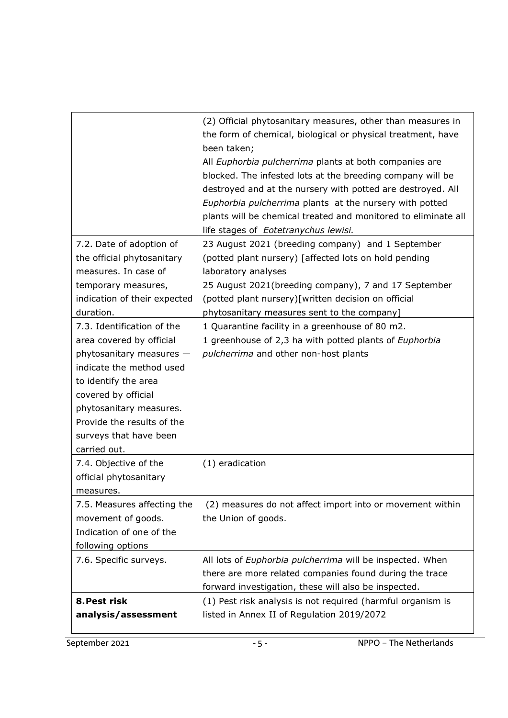| 7.2. Date of adoption of<br>the official phytosanitary<br>measures. In case of<br>temporary measures,<br>indication of their expected<br>duration.<br>7.3. Identification of the<br>area covered by official<br>phytosanitary measures -<br>indicate the method used<br>to identify the area<br>covered by official<br>phytosanitary measures.<br>Provide the results of the<br>surveys that have been | (2) Official phytosanitary measures, other than measures in<br>the form of chemical, biological or physical treatment, have<br>been taken;<br>All Euphorbia pulcherrima plants at both companies are<br>blocked. The infested lots at the breeding company will be<br>destroyed and at the nursery with potted are destroyed. All<br>Euphorbia pulcherrima plants at the nursery with potted<br>plants will be chemical treated and monitored to eliminate all<br>life stages of Eotetranychus lewisi.<br>23 August 2021 (breeding company) and 1 September<br>(potted plant nursery) [affected lots on hold pending<br>laboratory analyses<br>25 August 2021(breeding company), 7 and 17 September<br>(potted plant nursery)[written decision on official<br>phytosanitary measures sent to the company]<br>1 Quarantine facility in a greenhouse of 80 m2.<br>1 greenhouse of 2,3 ha with potted plants of Euphorbia<br>pulcherrima and other non-host plants |
|--------------------------------------------------------------------------------------------------------------------------------------------------------------------------------------------------------------------------------------------------------------------------------------------------------------------------------------------------------------------------------------------------------|-----------------------------------------------------------------------------------------------------------------------------------------------------------------------------------------------------------------------------------------------------------------------------------------------------------------------------------------------------------------------------------------------------------------------------------------------------------------------------------------------------------------------------------------------------------------------------------------------------------------------------------------------------------------------------------------------------------------------------------------------------------------------------------------------------------------------------------------------------------------------------------------------------------------------------------------------------------------|
| carried out.<br>7.4. Objective of the<br>official phytosanitary                                                                                                                                                                                                                                                                                                                                        | (1) eradication                                                                                                                                                                                                                                                                                                                                                                                                                                                                                                                                                                                                                                                                                                                                                                                                                                                                                                                                                 |
| measures.                                                                                                                                                                                                                                                                                                                                                                                              |                                                                                                                                                                                                                                                                                                                                                                                                                                                                                                                                                                                                                                                                                                                                                                                                                                                                                                                                                                 |
| 7.5. Measures affecting the<br>movement of goods.<br>Indication of one of the<br>following options                                                                                                                                                                                                                                                                                                     | (2) measures do not affect import into or movement within<br>the Union of goods.                                                                                                                                                                                                                                                                                                                                                                                                                                                                                                                                                                                                                                                                                                                                                                                                                                                                                |
| 7.6. Specific surveys.                                                                                                                                                                                                                                                                                                                                                                                 | All lots of Euphorbia pulcherrima will be inspected. When<br>there are more related companies found during the trace<br>forward investigation, these will also be inspected.                                                                                                                                                                                                                                                                                                                                                                                                                                                                                                                                                                                                                                                                                                                                                                                    |
| 8. Pest risk<br>analysis/assessment                                                                                                                                                                                                                                                                                                                                                                    | (1) Pest risk analysis is not required (harmful organism is<br>listed in Annex II of Regulation 2019/2072                                                                                                                                                                                                                                                                                                                                                                                                                                                                                                                                                                                                                                                                                                                                                                                                                                                       |